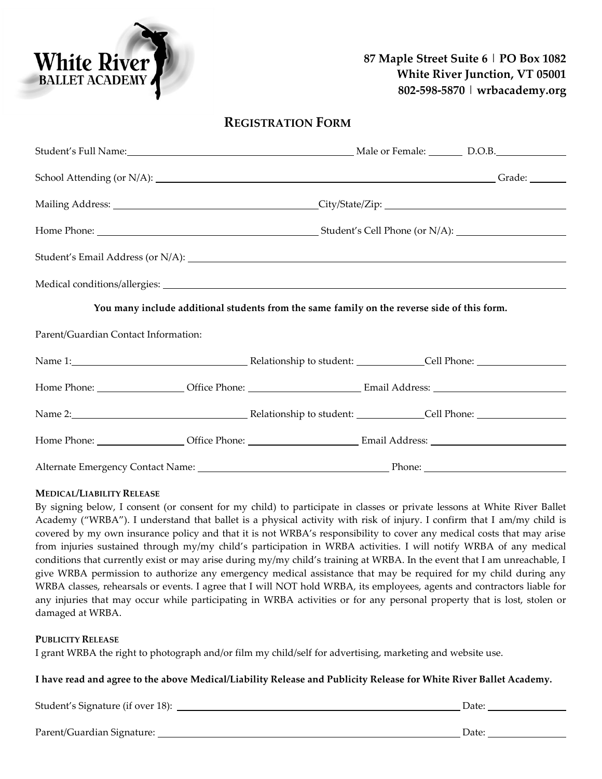# **87 Maple Street Suite 6** | **PO Box 1082 White River Junction, VT 05001 802-598-5870** | **wrbacademy.org**

## **REGISTRATION FORM**

|                                                                                             | Student's Full Name: 1990 120 Male or Female: 2008. [2013] D.O.B.                                                                                                                                                              |  |  |
|---------------------------------------------------------------------------------------------|--------------------------------------------------------------------------------------------------------------------------------------------------------------------------------------------------------------------------------|--|--|
|                                                                                             | School Attending (or N/A): Chool Attending (or N/A):                                                                                                                                                                           |  |  |
|                                                                                             |                                                                                                                                                                                                                                |  |  |
|                                                                                             |                                                                                                                                                                                                                                |  |  |
|                                                                                             |                                                                                                                                                                                                                                |  |  |
|                                                                                             |                                                                                                                                                                                                                                |  |  |
| You many include additional students from the same family on the reverse side of this form. |                                                                                                                                                                                                                                |  |  |
| Parent/Guardian Contact Information:                                                        |                                                                                                                                                                                                                                |  |  |
|                                                                                             | Name 1: Cell Phone: Cell Phone: Cell Phone: Cell Phone: Cell Phone: Cell Phone: Cell Phone: Cell Phone: Cell Phone: Cell Phone: Cell Phone: Cell Phone: Cell Phone: Cell Phone: Cell Phone: Cell Phone: Cell Phone: Cell Phone |  |  |
|                                                                                             |                                                                                                                                                                                                                                |  |  |
|                                                                                             | Name 2: Name 2: Name 2: Nelationship to student: Name 2: Nelationship to student: Nelson Cell Phone: Nelson 2:                                                                                                                 |  |  |
|                                                                                             |                                                                                                                                                                                                                                |  |  |
|                                                                                             |                                                                                                                                                                                                                                |  |  |

#### **MEDICAL/LIABILITY RELEASE**

**White River** BALLET ACADEMY

By signing below, I consent (or consent for my child) to participate in classes or private lessons at White River Ballet Academy ("WRBA"). I understand that ballet is a physical activity with risk of injury. I confirm that I am/my child is covered by my own insurance policy and that it is not WRBA's responsibility to cover any medical costs that may arise from injuries sustained through my/my child's participation in WRBA activities. I will notify WRBA of any medical conditions that currently exist or may arise during my/my child's training at WRBA. In the event that I am unreachable, I give WRBA permission to authorize any emergency medical assistance that may be required for my child during any WRBA classes, rehearsals or events. I agree that I will NOT hold WRBA, its employees, agents and contractors liable for any injuries that may occur while participating in WRBA activities or for any personal property that is lost, stolen or damaged at WRBA.

### **PUBLICITY RELEASE**

I grant WRBA the right to photograph and/or film my child/self for advertising, marketing and website use.

#### **I have read and agree to the above Medical/Liability Release and Publicity Release for White River Ballet Academy.**

Student's Signature (if over 18): Date:

Parent/Guardian Signature: Date: Date: Date: Date: Date: Date: Date: Date: Date: Date: Date: Date: Date: Date: Date: Date: Date: Date: Date: Date: Date: Date: Date: Date: Date: Date: Date: Date: Date: Date: Date: Date: Dat